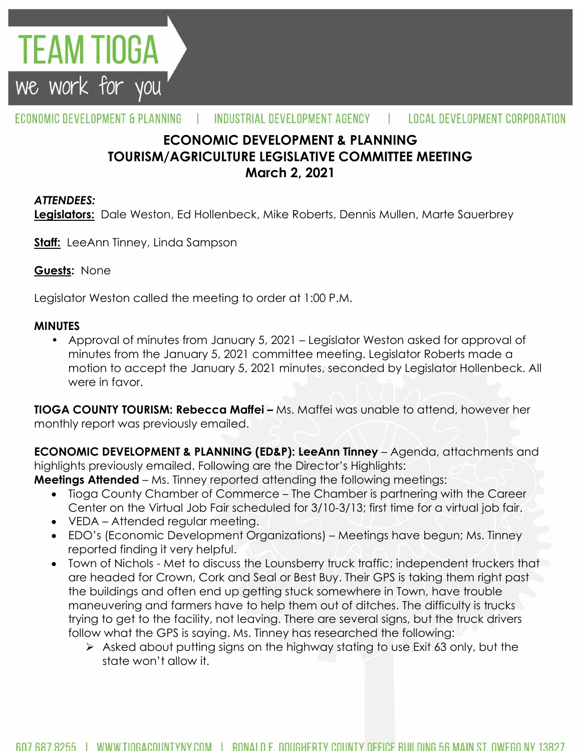

#### ECONOMIC DEVELOPMENT & PLANNING INDUSTRIAL DEVELOPMENT AGENCY LOCAL DEVELOPMENT CORPORATION

# **ECONOMIC DEVELOPMENT & PLANNING TOURISM/AGRICULTURE LEGISLATIVE COMMITTEE MEETING March 2, 2021**

### *ATTENDEES:*

**Legislators:** Dale Weston, Ed Hollenbeck, Mike Roberts, Dennis Mullen, Marte Sauerbrey

**Staff:** LeeAnn Tinney, Linda Sampson

### **Guests:** None

Legislator Weston called the meeting to order at 1:00 P.M.

#### **MINUTES**

• Approval of minutes from January 5, 2021 – Legislator Weston asked for approval of minutes from the January 5, 2021 committee meeting. Legislator Roberts made a motion to accept the January 5, 2021 minutes, seconded by Legislator Hollenbeck. All were in favor.

**TIOGA COUNTY TOURISM: Rebecca Maffei –** Ms. Maffei was unable to attend, however her monthly report was previously emailed.

**ECONOMIC DEVELOPMENT & PLANNING (ED&P): LeeAnn Tinney** – Agenda, attachments and highlights previously emailed. Following are the Director's Highlights:

**Meetings Attended** – Ms. Tinney reported attending the following meetings:

- Tioga County Chamber of Commerce The Chamber is partnering with the Career Center on the Virtual Job Fair scheduled for 3/10-3/13; first time for a virtual job fair.
- VEDA Attended regular meeting.
- EDO's (Economic Development Organizations) Meetings have begun; Ms. Tinney reported finding it very helpful.
- Town of Nichols Met to discuss the Lounsberry truck traffic; independent truckers that are headed for Crown, Cork and Seal or Best Buy. Their GPS is taking them right past the buildings and often end up getting stuck somewhere in Town, have trouble maneuvering and farmers have to help them out of ditches. The difficulty is trucks trying to get to the facility, not leaving. There are several signs, but the truck drivers follow what the GPS is saying. Ms. Tinney has researched the following:
	- Asked about putting signs on the highway stating to use Exit 63 only, but the state won't allow it.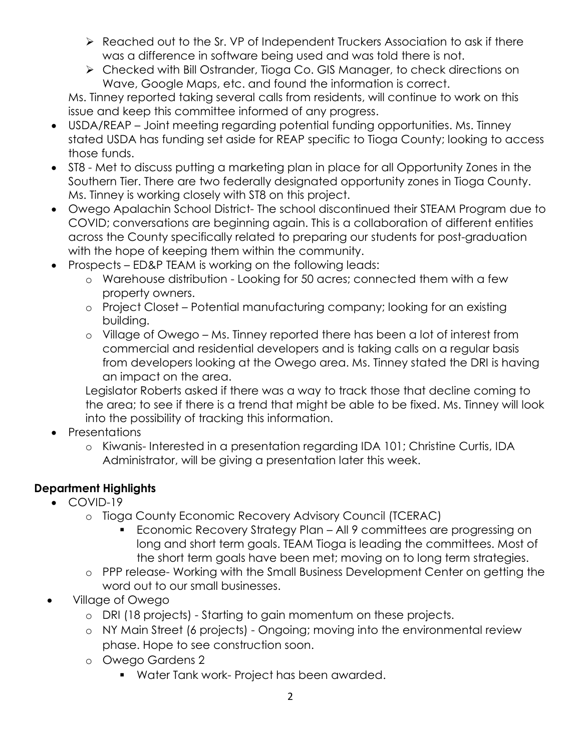- ▶ Reached out to the Sr. VP of Independent Truckers Association to ask if there was a difference in software being used and was told there is not.
- Checked with Bill Ostrander, Tioga Co. GIS Manager, to check directions on Wave, Google Maps, etc. and found the information is correct.

Ms. Tinney reported taking several calls from residents, will continue to work on this issue and keep this committee informed of any progress.

- USDA/REAP Joint meeting regarding potential funding opportunities. Ms. Tinney stated USDA has funding set aside for REAP specific to Tioga County; looking to access those funds.
- ST8 Met to discuss putting a marketing plan in place for all Opportunity Zones in the Southern Tier. There are two federally designated opportunity zones in Tioga County. Ms. Tinney is working closely with ST8 on this project.
- Owego Apalachin School District- The school discontinued their STEAM Program due to COVID; conversations are beginning again. This is a collaboration of different entities across the County specifically related to preparing our students for post-graduation with the hope of keeping them within the community.
- Prospects ED&P TEAM is working on the following leads:
	- o Warehouse distribution Looking for 50 acres; connected them with a few property owners.
	- o Project Closet Potential manufacturing company; looking for an existing building.
	- o Village of Owego Ms. Tinney reported there has been a lot of interest from commercial and residential developers and is taking calls on a regular basis from developers looking at the Owego area. Ms. Tinney stated the DRI is having an impact on the area.

Legislator Roberts asked if there was a way to track those that decline coming to the area; to see if there is a trend that might be able to be fixed. Ms. Tinney will look into the possibility of tracking this information.

- Presentations
	- o Kiwanis- Interested in a presentation regarding IDA 101; Christine Curtis, IDA Administrator, will be giving a presentation later this week.

# **Department Highlights**

- COVID-19
	- o Tioga County Economic Recovery Advisory Council (TCERAC)
		- Economic Recovery Strategy Plan All 9 committees are progressing on long and short term goals. TEAM Tioga is leading the committees. Most of the short term goals have been met; moving on to long term strategies.
	- o PPP release- Working with the Small Business Development Center on getting the word out to our small businesses.
- Village of Owego
	- o DRI (18 projects) Starting to gain momentum on these projects.
	- o NY Main Street (6 projects) Ongoing; moving into the environmental review phase. Hope to see construction soon.
	- o Owego Gardens 2
		- **Water Tank work- Project has been awarded.**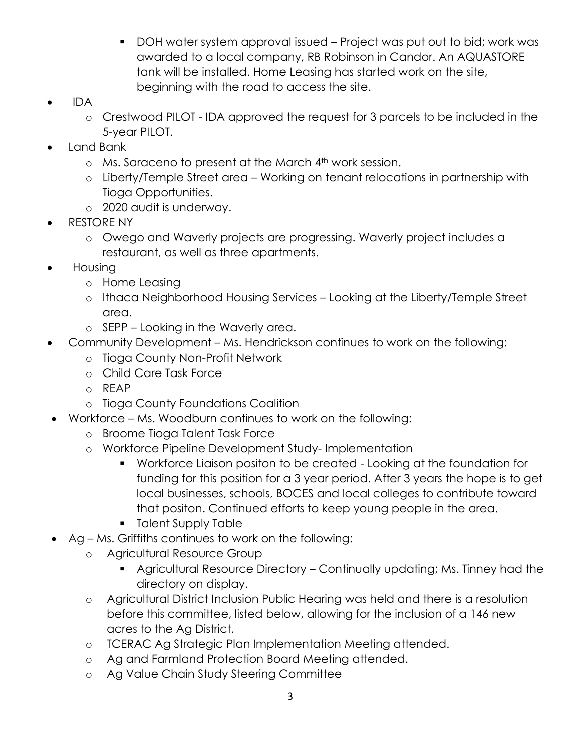- DOH water system approval issued Project was put out to bid; work was awarded to a local company, RB Robinson in Candor. An AQUASTORE tank will be installed. Home Leasing has started work on the site, beginning with the road to access the site.
- IDA
	- o Crestwood PILOT IDA approved the request for 3 parcels to be included in the 5-year PILOT.
- Land Bank
	- o Ms. Saraceno to present at the March 4th work session.
	- o Liberty/Temple Street area Working on tenant relocations in partnership with Tioga Opportunities.
	- o 2020 audit is underway.
- RESTORE NY
	- o Owego and Waverly projects are progressing. Waverly project includes a restaurant, as well as three apartments.
- Housing
	- o Home Leasing
	- o Ithaca Neighborhood Housing Services Looking at the Liberty/Temple Street area.
	- o SEPP Looking in the Waverly area.
- Community Development Ms. Hendrickson continues to work on the following:
	- o Tioga County Non-Profit Network
	- o Child Care Task Force
	- o REAP
	- o Tioga County Foundations Coalition
- Workforce Ms. Woodburn continues to work on the following:
	- o Broome Tioga Talent Task Force
	- o Workforce Pipeline Development Study- Implementation
		- Workforce Liaison positon to be created Looking at the foundation for funding for this position for a 3 year period. After 3 years the hope is to get local businesses, schools, BOCES and local colleges to contribute toward that positon. Continued efforts to keep young people in the area.
		- **Talent Supply Table**
- Ag Ms. Griffiths continues to work on the following:
	- o Agricultural Resource Group
		- Agricultural Resource Directory Continually updating; Ms. Tinney had the directory on display.
	- o Agricultural District Inclusion Public Hearing was held and there is a resolution before this committee, listed below, allowing for the inclusion of a 146 new acres to the Ag District.
	- o TCERAC Ag Strategic Plan Implementation Meeting attended.
	- o Ag and Farmland Protection Board Meeting attended.
	- o Ag Value Chain Study Steering Committee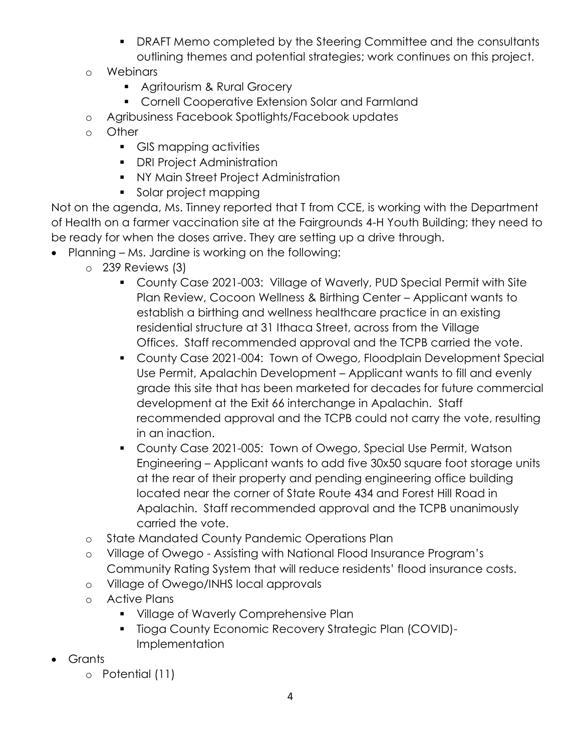- DRAFT Memo completed by the Steering Committee and the consultants outlining themes and potential strategies; work continues on this project.
- o Webinars
	- **Agritourism & Rural Grocery**
	- **Cornell Cooperative Extension Solar and Farmland**
- o Agribusiness Facebook Spotlights/Facebook updates
- o Other
	- GIS mapping activities
	- **•** DRI Project Administration
	- **NY Main Street Project Administration**
	- Solar project mapping

Not on the agenda, Ms. Tinney reported that T from CCE, is working with the Department of Health on a farmer vaccination site at the Fairgrounds 4-H Youth Building; they need to be ready for when the doses arrive. They are setting up a drive through.

- Planning Ms. Jardine is working on the following:
	- o 239 Reviews (3)
		- County Case 2021-003: Village of Waverly, PUD Special Permit with Site Plan Review, Cocoon Wellness & Birthing Center – Applicant wants to establish a birthing and wellness healthcare practice in an existing residential structure at 31 Ithaca Street, across from the Village Offices. Staff recommended approval and the TCPB carried the vote.
		- County Case 2021-004: Town of Owego, Floodplain Development Special Use Permit, Apalachin Development – Applicant wants to fill and evenly grade this site that has been marketed for decades for future commercial development at the Exit 66 interchange in Apalachin. Staff recommended approval and the TCPB could not carry the vote, resulting in an inaction.
		- County Case 2021-005: Town of Owego, Special Use Permit, Watson Engineering – Applicant wants to add five 30x50 square foot storage units at the rear of their property and pending engineering office building located near the corner of State Route 434 and Forest Hill Road in Apalachin. Staff recommended approval and the TCPB unanimously carried the vote.
	- o State Mandated County Pandemic Operations Plan
	- o Village of Owego Assisting with National Flood Insurance Program's Community Rating System that will reduce residents' flood insurance costs.
	- o Village of Owego/INHS local approvals
	- o Active Plans
		- **Village of Waverly Comprehensive Plan**
		- **Tioga County Economic Recovery Strategic Plan (COVID)-**Implementation
- Grants
	- o Potential (11)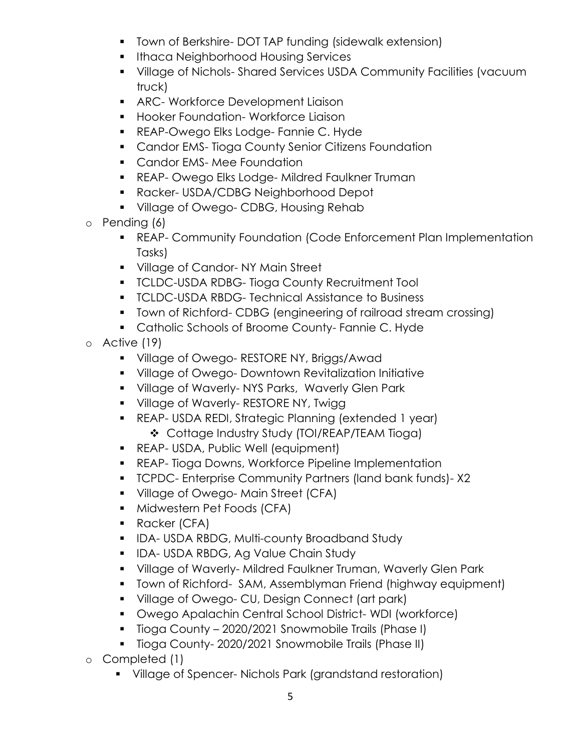- **T** Town of Berkshire- DOT TAP funding (sidewalk extension)
- **Ithaca Neighborhood Housing Services**
- Village of Nichols- Shared Services USDA Community Facilities (vacuum truck)
- **ARC- Workforce Development Liaison**
- **Hooker Foundation- Workforce Ligison**
- **REAP-Owego Elks Lodge- Fannie C. Hyde**
- **Candor EMS-Tioga County Senior Citizens Foundation**
- **Candor EMS-Mee Foundation**
- **REAP- Owego Elks Lodge- Mildred Faulkner Truman**
- Racker- USDA/CDBG Neighborhood Depot
- **Village of Owego- CDBG, Housing Rehab**
- o Pending (6)
	- REAP- Community Foundation (Code Enforcement Plan Implementation Tasks)
	- **Village of Candor-NY Main Street**
	- **TCLDC-USDA RDBG- Tioga County Recruitment Tool**
	- **TCLDC-USDA RBDG- Technical Assistance to Business**
	- Town of Richford- CDBG (engineering of railroad stream crossing)
	- **Catholic Schools of Broome County- Fannie C. Hyde**
- o Active (19)
	- **Village of Owego- RESTORE NY, Briggs/Awad**
	- Village of Owego- Downtown Revitalization Initiative
	- **Village of Waverly-NYS Parks, Waverly Glen Park**
	- **Village of Waverly- RESTORE NY, Twigg.**
	- REAP- USDA REDI, Strategic Planning (extended 1 year) Cottage Industry Study (TOI/REAP/TEAM Tioga)
	- **REAP- USDA, Public Well (equipment)**
	- **REAP- Tioga Downs, Workforce Pipeline Implementation**
	- TCPDC- Enterprise Community Partners (land bank funds)- X2
	- **Village of Owego-Main Street (CFA)**
	- **Midwestern Pet Foods (CFA)**
	- **Racker (CFA)**
	- **IDA-USDA RBDG, Multi-county Broadband Study**
	- **IDA- USDA RBDG, Ag Value Chain Study**
	- Village of Waverly- Mildred Faulkner Truman, Waverly Glen Park
	- **T** Town of Richford- SAM, Assemblyman Friend (highway equipment)
	- **Village of Owego- CU, Design Connect (art park)**
	- Owego Apalachin Central School District- WDI (workforce)
	- **Tioga County 2020/2021 Snowmobile Trails (Phase I)**
	- **Tioga County-2020/2021 Snowmobile Trails (Phase II)**
- o Completed (1)
	- Village of Spencer- Nichols Park (grandstand restoration)